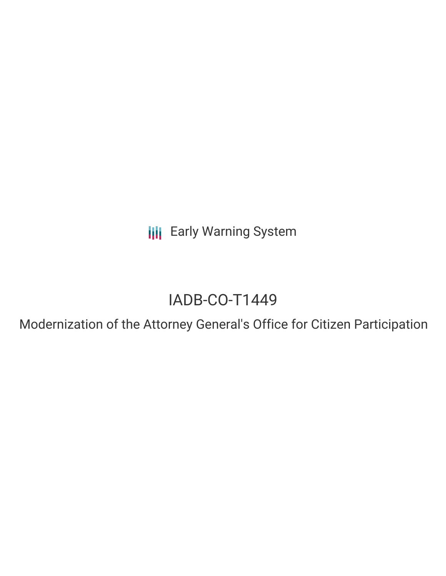**III** Early Warning System

# IADB-CO-T1449

Modernization of the Attorney General's Office for Citizen Participation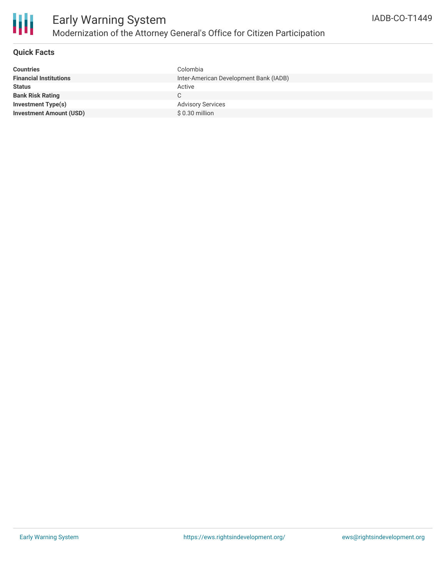

### **Quick Facts**

| <b>Countries</b>               | Colombia                               |
|--------------------------------|----------------------------------------|
| <b>Financial Institutions</b>  | Inter-American Development Bank (IADB) |
| <b>Status</b>                  | Active                                 |
| <b>Bank Risk Rating</b>        |                                        |
| <b>Investment Type(s)</b>      | <b>Advisory Services</b>               |
| <b>Investment Amount (USD)</b> | \$ 0.30 million                        |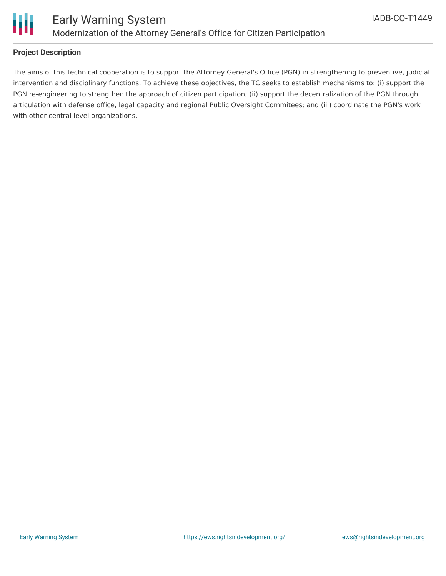

### **Project Description**

The aims of this technical cooperation is to support the Attorney General's Office (PGN) in strengthening to preventive, judicial intervention and disciplinary functions. To achieve these objectives, the TC seeks to establish mechanisms to: (i) support the PGN re-engineering to strengthen the approach of citizen participation; (ii) support the decentralization of the PGN through articulation with defense office, legal capacity and regional Public Oversight Commitees; and (iii) coordinate the PGN's work with other central level organizations.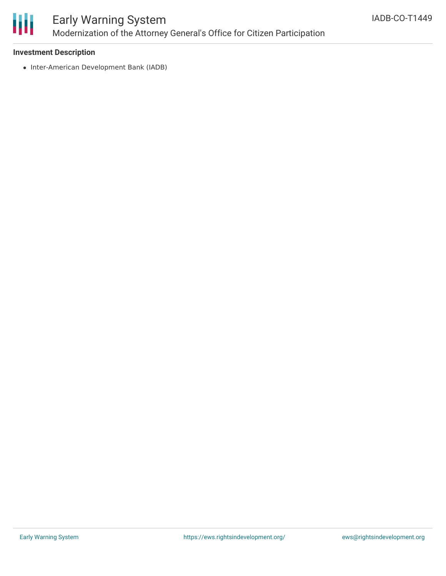

## Early Warning System Modernization of the Attorney General's Office for Citizen Participation

#### **Investment Description**

• Inter-American Development Bank (IADB)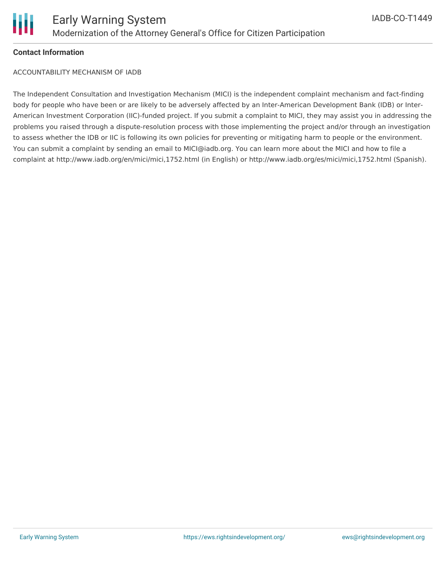

#### **Contact Information**

ACCOUNTABILITY MECHANISM OF IADB

The Independent Consultation and Investigation Mechanism (MICI) is the independent complaint mechanism and fact-finding body for people who have been or are likely to be adversely affected by an Inter-American Development Bank (IDB) or Inter-American Investment Corporation (IIC)-funded project. If you submit a complaint to MICI, they may assist you in addressing the problems you raised through a dispute-resolution process with those implementing the project and/or through an investigation to assess whether the IDB or IIC is following its own policies for preventing or mitigating harm to people or the environment. You can submit a complaint by sending an email to MICI@iadb.org. You can learn more about the MICI and how to file a complaint at http://www.iadb.org/en/mici/mici,1752.html (in English) or http://www.iadb.org/es/mici/mici,1752.html (Spanish).